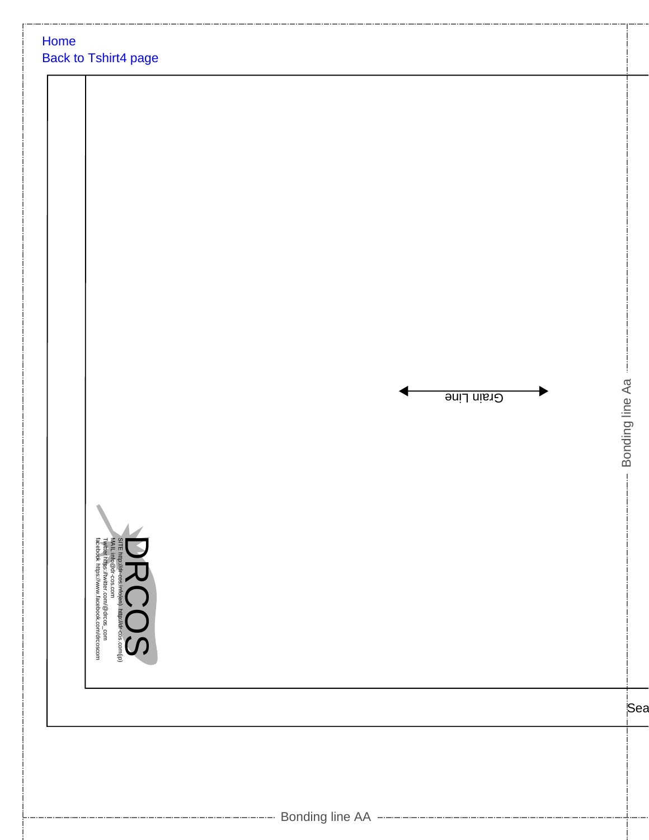| Home | Back to Tshirt4 page |  |            |                 |
|------|----------------------|--|------------|-----------------|
|      |                      |  |            |                 |
|      |                      |  |            |                 |
|      |                      |  |            |                 |
|      |                      |  |            |                 |
|      |                      |  | Grain Line | Bonding line Aa |
|      |                      |  |            |                 |
|      |                      |  |            |                 |
|      |                      |  |            |                 |
|      |                      |  |            | Sea             |
|      |                      |  |            |                 |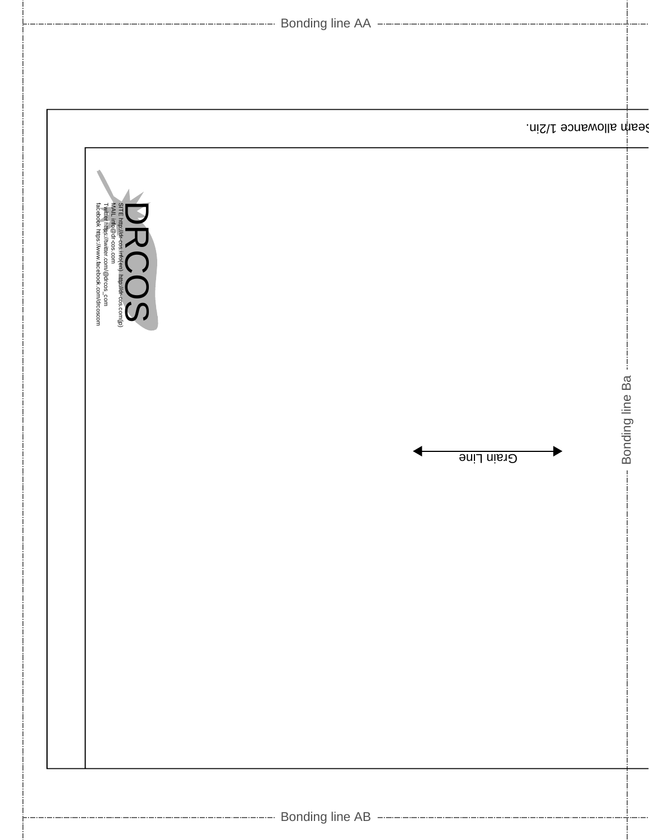|                                                                                                                                                                                           | ------------------ Bonding line AA ------------------- |                     |
|-------------------------------------------------------------------------------------------------------------------------------------------------------------------------------------------|--------------------------------------------------------|---------------------|
|                                                                                                                                                                                           |                                                        |                     |
|                                                                                                                                                                                           | Seam allowance 1/2in.                                  |                     |
| SITE http://dr-cees. <del>in</del> fo <b>jen). http://dr-cos.com</b> (jp)<br>MALL info@dr-cos.com<br>Twitter https://wwitter.com/@drcos_com<br>facebook https://www.facebook.com/drooscom |                                                        | j.                  |
|                                                                                                                                                                                           | Grain Line                                             | --- Bonding line Ba |
|                                                                                                                                                                                           |                                                        |                     |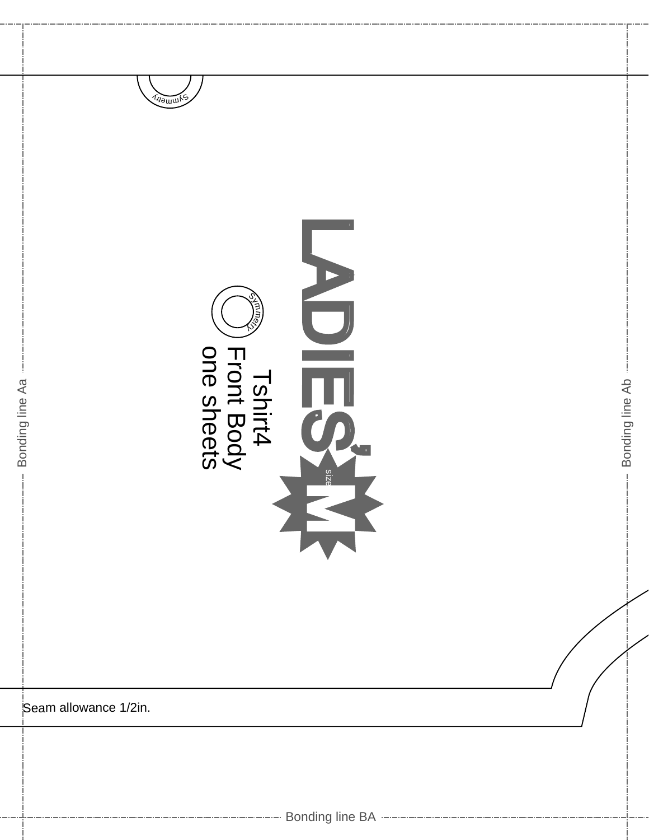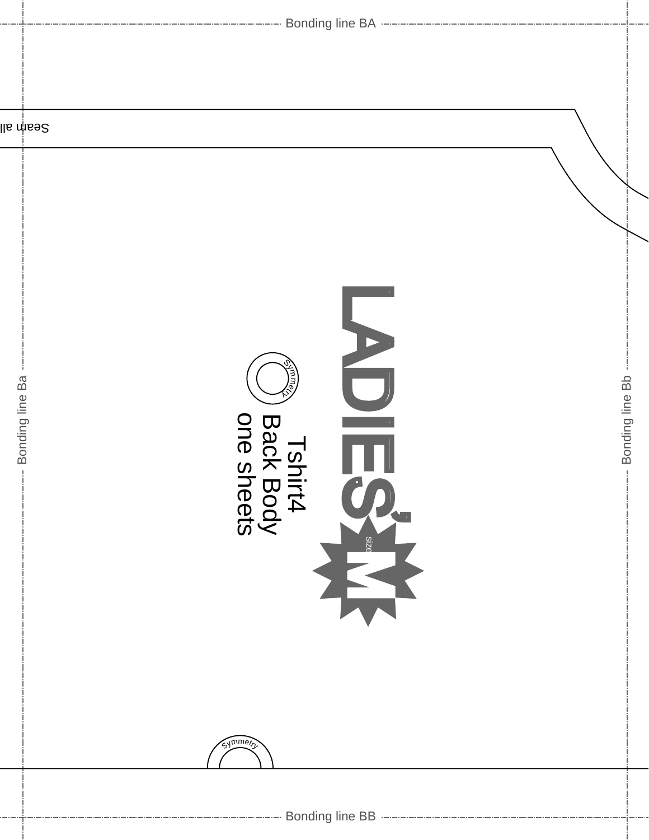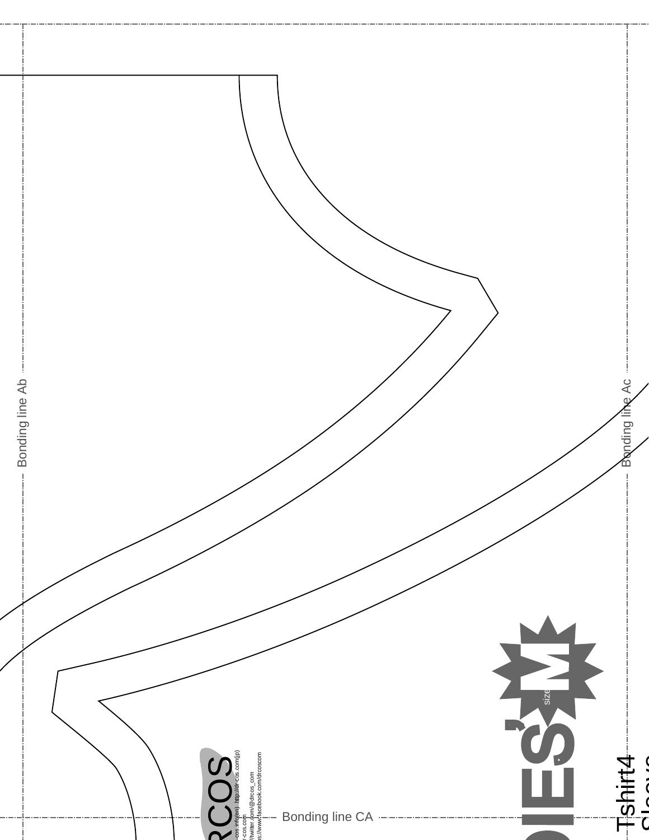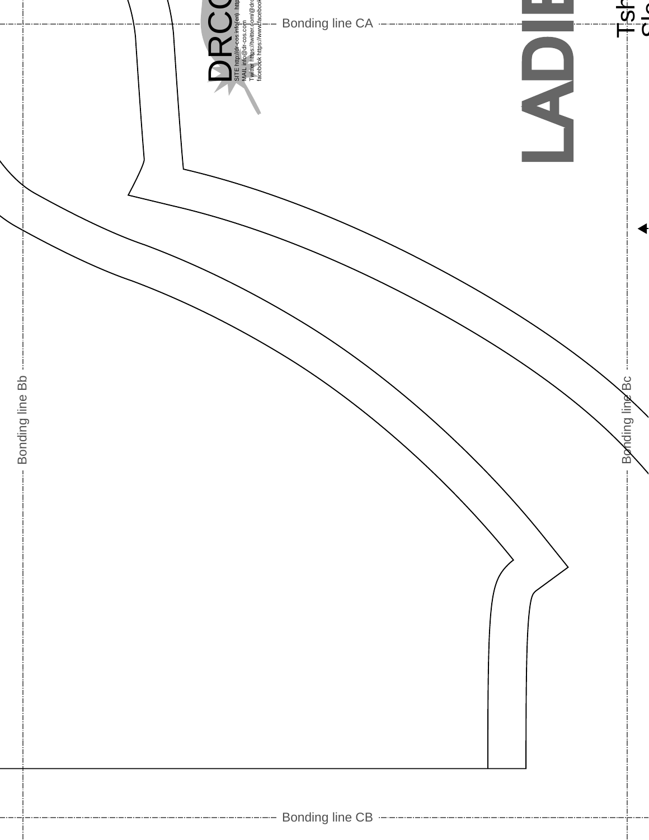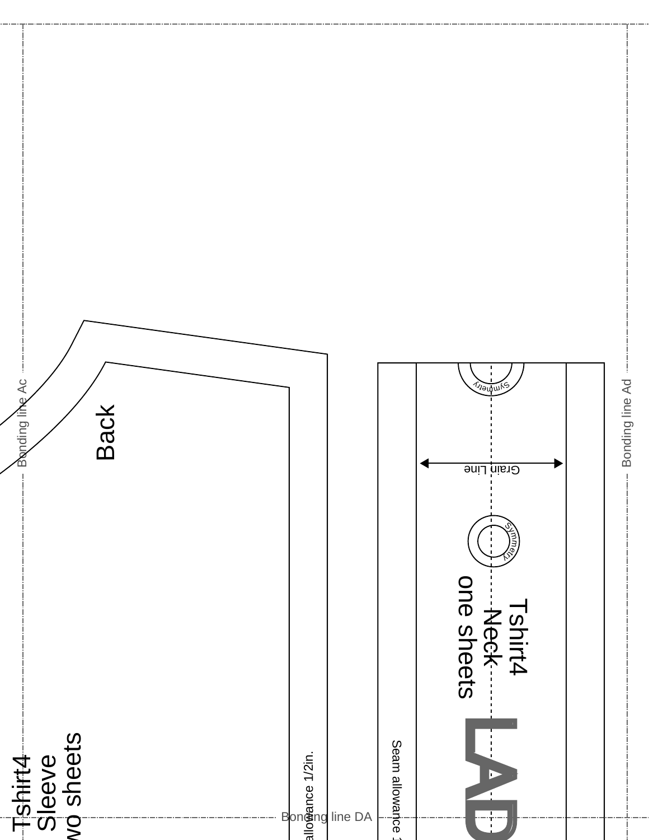